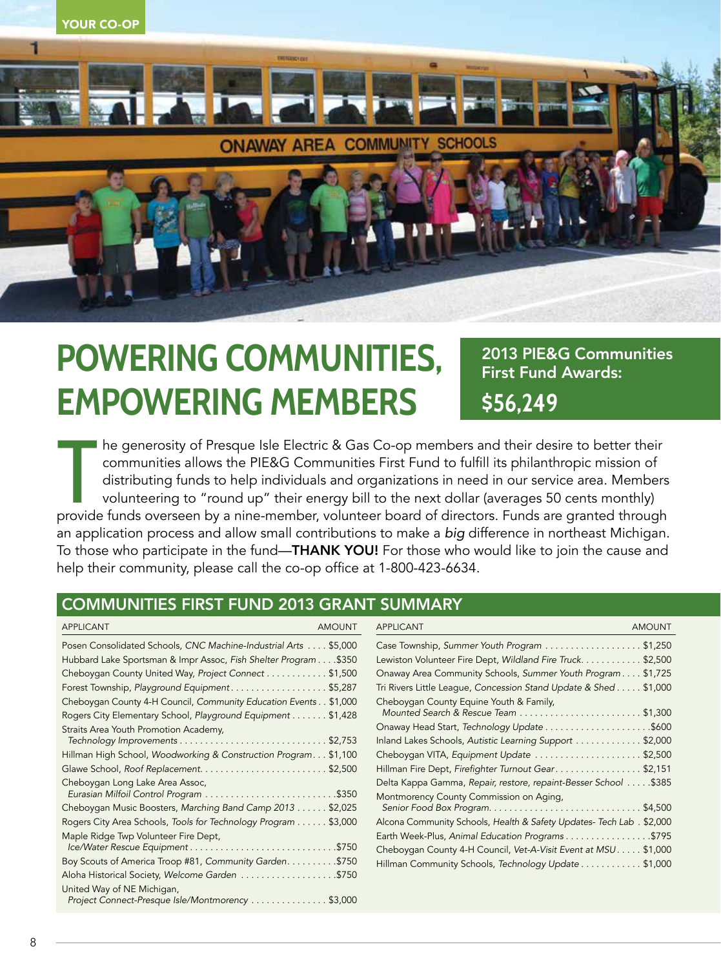

## **POWERING COMMUNITIES, EMPOWERING MEMBERS**

2013 PIE&G Communities First Fund Awards: **\$56,249** 

The generosity of Presque Isle Electric & Gas Co-op members and their desire to better their<br>communities allows the PIE&G Communities First Fund to fulfill its philanthropic mission of<br>distributing funds to help individual he generosity of Presque Isle Electric & Gas Co-op members and their desire to better their communities allows the PIE&G Communities First Fund to fulfill its philanthropic mission of distributing funds to help individuals and organizations in need in our service area. Members volunteering to "round up" their energy bill to the next dollar (averages 50 cents monthly) an application process and allow small contributions to make a *big* difference in northeast Michigan. To those who participate in the fund—THANK YOU! For those who would like to join the cause and help their community, please call the co-op office at 1-800-423-6634.

## COMMUNITIES FIRST FUND 2013 GRANT SUMMARY

| <b>APPLICANT</b><br><b>AMOUNT</b>                                                                                               | <b>APPLICANT</b><br><b>AMOUNT</b>                                                                                 |
|---------------------------------------------------------------------------------------------------------------------------------|-------------------------------------------------------------------------------------------------------------------|
| Posen Consolidated Schools, CNC Machine-Industrial Arts \$5,000                                                                 | Case Township, Summer Youth Program \$1,250                                                                       |
| Hubbard Lake Sportsman & Impr Assoc, Fish Shelter Program \$350                                                                 | Lewiston Volunteer Fire Dept, Wildland Fire Truck\$2,500                                                          |
| Cheboygan County United Way, Project Connect \$1,500                                                                            | Onaway Area Community Schools, Summer Youth Program \$1,725                                                       |
| Forest Township, Playground Equipment\$5,287                                                                                    | Tri Rivers Little League, Concession Stand Update & Shed \$1,000                                                  |
| Cheboygan County 4-H Council, Community Education Events \$1,000<br>Rogers City Elementary School, Playground Equipment \$1,428 | Cheboygan County Equine Youth & Family,                                                                           |
| Straits Area Youth Promotion Academy,                                                                                           |                                                                                                                   |
|                                                                                                                                 | Inland Lakes Schools, Autistic Learning Support \$2,000                                                           |
| Hillman High School, Woodworking & Construction Program\$1,100                                                                  | Cheboygan VITA, Equipment Update \$2,500                                                                          |
|                                                                                                                                 | Hillman Fire Dept, Firefighter Turnout Gear\$2,151                                                                |
| Cheboygan Long Lake Area Assoc,                                                                                                 | Delta Kappa Gamma, Repair, restore, repaint-Besser School \$385<br>Montmorency County Commission on Aging,        |
| Cheboygan Music Boosters, Marching Band Camp 2013 \$2,025                                                                       |                                                                                                                   |
| Rogers City Area Schools, Tools for Technology Program \$3,000                                                                  | Alcona Community Schools, Health & Safety Updates- Tech Lab . \$2,000                                             |
| Maple Ridge Twp Volunteer Fire Dept,<br>Ice/Water Rescue Equipment\$750                                                         | Earth Week-Plus, Animal Education Programs\$795<br>Cheboygan County 4-H Council, Vet-A-Visit Event at MSU \$1,000 |
| Boy Scouts of America Troop #81, Community Garden. \$750                                                                        | Hillman Community Schools, Technology Update \$1,000                                                              |
| Aloha Historical Society, Welcome Garden \$750                                                                                  |                                                                                                                   |
| United Way of NE Michigan,<br>Project Connect-Presque Isle/Montmorency \$3,000                                                  |                                                                                                                   |